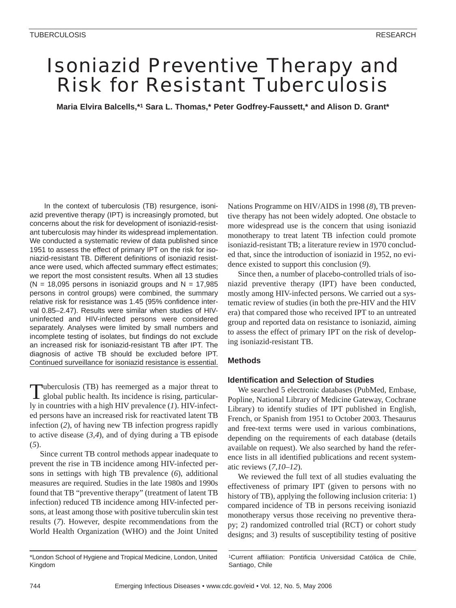# Isoniazid Preventive Therapy and Risk for Resistant Tuberculosis

**Maria Elvira Balcells,\*1 Sara L. Thomas,\* Peter Godfrey-Faussett,\* and Alison D. Grant\*** 

In the context of tuberculosis (TB) resurgence, isoniazid preventive therapy (IPT) is increasingly promoted, but concerns about the risk for development of isoniazid-resistant tuberculosis may hinder its widespread implementation. We conducted a systematic review of data published since 1951 to assess the effect of primary IPT on the risk for isoniazid-resistant TB. Different definitions of isoniazid resistance were used, which affected summary effect estimates; we report the most consistent results. When all 13 studies  $(N = 18,095$  persons in isoniazid groups and  $N = 17,985$ persons in control groups) were combined, the summary relative risk for resistance was 1.45 (95% confidence interval 0.85–2.47). Results were similar when studies of HIVuninfected and HIV-infected persons were considered separately. Analyses were limited by small numbers and incomplete testing of isolates, but findings do not exclude an increased risk for isoniazid-resistant TB after IPT. The diagnosis of active TB should be excluded before IPT. Continued surveillance for isoniazid resistance is essential.

Tuberculosis (TB) has reemerged as a major threat to global public health. Its incidence is rising, particularly in countries with a high HIV prevalence (*1*). HIV-infected persons have an increased risk for reactivated latent TB infection (*2*), of having new TB infection progress rapidly to active disease (*3,4*), and of dying during a TB episode (*5*).

Since current TB control methods appear inadequate to prevent the rise in TB incidence among HIV-infected persons in settings with high TB prevalence (*6*), additional measures are required. Studies in the late 1980s and 1990s found that TB "preventive therapy" (treatment of latent TB infection) reduced TB incidence among HIV-infected persons, at least among those with positive tuberculin skin test results (*7*). However, despite recommendations from the World Health Organization (WHO) and the Joint United

Nations Programme on HIV/AIDS in 1998 (*8*), TB preventive therapy has not been widely adopted. One obstacle to more widespread use is the concern that using isoniazid monotherapy to treat latent TB infection could promote isoniazid-resistant TB; a literature review in 1970 concluded that, since the introduction of isoniazid in 1952, no evidence existed to support this conclusion (*9*).

Since then, a number of placebo-controlled trials of isoniazid preventive therapy (IPT) have been conducted, mostly among HIV-infected persons. We carried out a systematic review of studies (in both the pre-HIV and the HIV era) that compared those who received IPT to an untreated group and reported data on resistance to isoniazid, aiming to assess the effect of primary IPT on the risk of developing isoniazid-resistant TB.

### **Methods**

### **Identification and Selection of Studies**

We searched 5 electronic databases (PubMed, Embase, Popline, National Library of Medicine Gateway, Cochrane Library) to identify studies of IPT published in English, French, or Spanish from 1951 to October 2003. Thesaurus and free-text terms were used in various combinations, depending on the requirements of each database (details available on request). We also searched by hand the reference lists in all identified publications and recent systematic reviews (*7,10–12*).

We reviewed the full text of all studies evaluating the effectiveness of primary IPT (given to persons with no history of TB), applying the following inclusion criteria: 1) compared incidence of TB in persons receiving isoniazid monotherapy versus those receiving no preventive therapy; 2) randomized controlled trial (RCT) or cohort study designs; and 3) results of susceptibility testing of positive

1Current affiliation: Pontificia Universidad Católica de Chile, Santiago, Chile

<sup>\*</sup>London School of Hygiene and Tropical Medicine, London, United Kingdom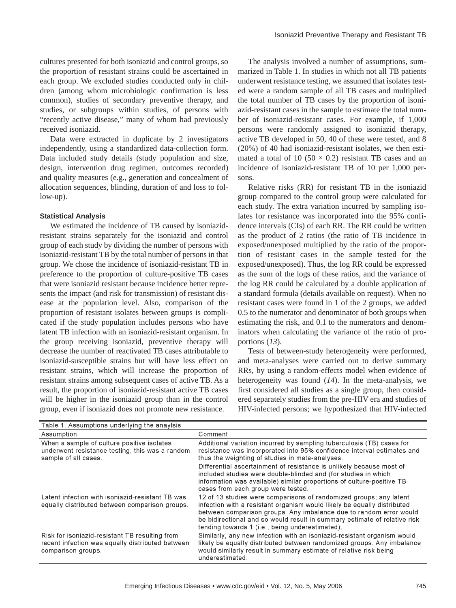cultures presented for both isoniazid and control groups, so the proportion of resistant strains could be ascertained in each group. We excluded studies conducted only in children (among whom microbiologic confirmation is less common), studies of secondary preventive therapy, and studies, or subgroups within studies, of persons with "recently active disease," many of whom had previously received isoniazid.

Data were extracted in duplicate by 2 investigators independently, using a standardized data-collection form. Data included study details (study population and size, design, intervention drug regimen, outcomes recorded) and quality measures (e.g., generation and concealment of allocation sequences, blinding, duration of and loss to follow-up).

### **Statistical Analysis**

We estimated the incidence of TB caused by isoniazidresistant strains separately for the isoniazid and control group of each study by dividing the number of persons with isoniazid-resistant TB by the total number of persons in that group. We chose the incidence of isoniazid-resistant TB in preference to the proportion of culture-positive TB cases that were isoniazid resistant because incidence better represents the impact (and risk for transmission) of resistant disease at the population level. Also, comparison of the proportion of resistant isolates between groups is complicated if the study population includes persons who have latent TB infection with an isoniazid-resistant organism. In the group receiving isoniazid, preventive therapy will decrease the number of reactivated TB cases attributable to isoniazid-susceptible strains but will have less effect on resistant strains, which will increase the proportion of resistant strains among subsequent cases of active TB. As a result, the proportion of isoniazid-resistant active TB cases will be higher in the isoniazid group than in the control group, even if isoniazid does not promote new resistance.

The analysis involved a number of assumptions, summarized in Table 1. In studies in which not all TB patients underwent resistance testing, we assumed that isolates tested were a random sample of all TB cases and multiplied the total number of TB cases by the proportion of isoniazid-resistant cases in the sample to estimate the total number of isoniazid-resistant cases. For example, if 1,000 persons were randomly assigned to isoniazid therapy, active TB developed in 50, 40 of these were tested, and 8 (20%) of 40 had isoniazid-resistant isolates, we then estimated a total of 10 (50  $\times$  0.2) resistant TB cases and an incidence of isoniazid-resistant TB of 10 per 1,000 persons.

Relative risks (RR) for resistant TB in the isoniazid group compared to the control group were calculated for each study. The extra variation incurred by sampling isolates for resistance was incorporated into the 95% confidence intervals (CIs) of each RR. The RR could be written as the product of 2 ratios (the ratio of TB incidence in exposed/unexposed multiplied by the ratio of the proportion of resistant cases in the sample tested for the exposed/unexposed). Thus, the log RR could be expressed as the sum of the logs of these ratios, and the variance of the log RR could be calculated by a double application of a standard formula (details available on request). When no resistant cases were found in 1 of the 2 groups, we added 0.5 to the numerator and denominator of both groups when estimating the risk, and 0.1 to the numerators and denominators when calculating the variance of the ratio of proportions (*13*).

Tests of between-study heterogeneity were performed, and meta-analyses were carried out to derive summary RRs, by using a random-effects model when evidence of heterogeneity was found (*14*). In the meta-analysis, we first considered all studies as a single group, then considered separately studies from the pre-HIV era and studies of HIV-infected persons; we hypothesized that HIV-infected

| Table 1. Assumptions underlying the anaylsis                                                                             |                                                                                                                                                                                                                                                                                                                                                     |
|--------------------------------------------------------------------------------------------------------------------------|-----------------------------------------------------------------------------------------------------------------------------------------------------------------------------------------------------------------------------------------------------------------------------------------------------------------------------------------------------|
| Assumption                                                                                                               | Comment                                                                                                                                                                                                                                                                                                                                             |
| When a sample of culture positive isolates<br>underwent resistance testing, this was a random<br>sample of all cases.    | Additional variation incurred by sampling tuberculosis (TB) cases for<br>resistance was incorporated into 95% confidence interval estimates and<br>thus the weighting of studies in meta-analyses.                                                                                                                                                  |
|                                                                                                                          | Differential ascertainment of resistance is unlikely because most of<br>included studies were double-blinded and (for studies in which<br>information was available) similar proportions of culture-positive TB<br>cases from each group were tested.                                                                                               |
| Latent infection with isoniazid-resistant TB was<br>equally distributed between comparison groups.                       | 12 of 13 studies were comparisons of randomized groups; any latent<br>infection with a resistant organism would likely be equally distributed<br>between comparison groups. Any imbalance due to random error would<br>be bidirectional and so would result in summary estimate of relative risk<br>tending towards 1 (i.e., being underestimated). |
| Risk for isoniazid-resistant TB resulting from<br>recent infection was equally distributed between<br>comparison groups. | Similarly, any new infection with an isoniazid-resistant organism would<br>likely be equally distributed between randomized groups. Any imbalance<br>would similarly result in summary estimate of relative risk being<br>underestimated.                                                                                                           |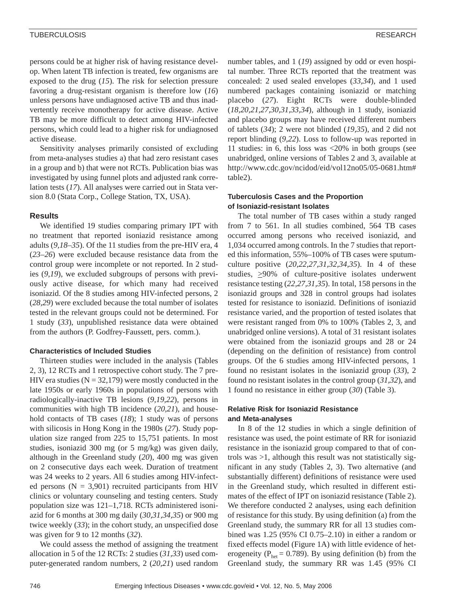persons could be at higher risk of having resistance develop. When latent TB infection is treated, few organisms are exposed to the drug (*15*). The risk for selection pressure favoring a drug-resistant organism is therefore low (*16*) unless persons have undiagnosed active TB and thus inadvertently receive monotherapy for active disease. Active TB may be more difficult to detect among HIV-infected persons, which could lead to a higher risk for undiagnosed active disease.

Sensitivity analyses primarily consisted of excluding from meta-analyses studies a) that had zero resistant cases in a group and b) that were not RCTs. Publication bias was investigated by using funnel plots and adjusted rank correlation tests (*17*). All analyses were carried out in Stata version 8.0 (Stata Corp., College Station, TX, USA).

### **Results**

We identified 19 studies comparing primary IPT with no treatment that reported isoniazid resistance among adults (*9,18–35*). Of the 11 studies from the pre-HIV era, 4 (*23–26*) were excluded because resistance data from the control group were incomplete or not reported. In 2 studies (*9,19*), we excluded subgroups of persons with previously active disease, for which many had received isoniazid. Of the 8 studies among HIV-infected persons, 2 (*28,29*) were excluded because the total number of isolates tested in the relevant groups could not be determined. For 1 study (*33*), unpublished resistance data were obtained from the authors (P. Godfrey-Faussett, pers. comm.).

### **Characteristics of Included Studies**

Thirteen studies were included in the analysis (Tables 2, 3), 12 RCTs and 1 retrospective cohort study. The 7 pre-HIV era studies ( $N = 32,179$ ) were mostly conducted in the late 1950s or early 1960s in populations of persons with radiologically-inactive TB lesions (*9,19,22*), persons in communities with high TB incidence (*20,21*), and household contacts of TB cases (*18*); 1 study was of persons with silicosis in Hong Kong in the 1980s (*27*). Study population size ranged from 225 to 15,751 patients. In most studies, isoniazid 300 mg (or 5 mg/kg) was given daily, although in the Greenland study (*20*), 400 mg was given on 2 consecutive days each week. Duration of treatment was 24 weeks to 2 years. All 6 studies among HIV-infected persons  $(N = 3,901)$  recruited participants from HIV clinics or voluntary counseling and testing centers. Study population size was 121–1,718. RCTs administered isoniazid for 6 months at 300 mg daily (*30,31,34,35*) or 900 mg twice weekly (*33*); in the cohort study, an unspecified dose was given for 9 to 12 months (*32*).

We could assess the method of assigning the treatment allocation in 5 of the 12 RCTs: 2 studies (*31,33*) used computer-generated random numbers, 2 (*20,21*) used random number tables, and 1 (*19*) assigned by odd or even hospital number. Three RCTs reported that the treatment was concealed: 2 used sealed envelopes (*33,34*), and 1 used numbered packages containing isoniazid or matching placebo (*27*). Eight RCTs were double-blinded (*18,20,21,27,30,31,33,34*), although in 1 study, isoniazid and placebo groups may have received different numbers of tablets (*34*); 2 were not blinded (*19,35*), and 2 did not report blinding (*9,22*). Loss to follow-up was reported in 11 studies: in 6, this loss was <20% in both groups (see unabridged, online versions of Tables 2 and 3, available at http://www.cdc.gov/ncidod/eid/vol12no05/05-0681.htm# table2).

### **Tuberculosis Cases and the Proportion of Isoniazid-resistant Isolates**

The total number of TB cases within a study ranged from 7 to 561. In all studies combined, 564 TB cases occurred among persons who received isoniazid, and 1,034 occurred among controls. In the 7 studies that reported this information, 55%–100% of TB cases were sputumculture positive (*20,22,27,31,32,34,35*). In 4 of these studies,  $\geq 90\%$  of culture-positive isolates underwent resistance testing (*22,27,31,35*). In total, 158 persons in the isoniazid groups and 328 in control groups had isolates tested for resistance to isoniazid. Definitions of isoniazid resistance varied, and the proportion of tested isolates that were resistant ranged from 0% to 100% (Tables 2, 3, and unabridged online versions). A total of 31 resistant isolates were obtained from the isoniazid groups and 28 or 24 (depending on the definition of resistance) from control groups. Of the 6 studies among HIV-infected persons, 1 found no resistant isolates in the isoniazid group (*33*), 2 found no resistant isolates in the control group (*31,32*), and 1 found no resistance in either group (*30*) (Table 3).

### **Relative Risk for Isoniazid Resistance and Meta-analyses**

In 8 of the 12 studies in which a single definition of resistance was used, the point estimate of RR for isoniazid resistance in the isoniazid group compared to that of controls was >1, although this result was not statistically significant in any study (Tables 2, 3). Two alternative (and substantially different) definitions of resistance were used in the Greenland study, which resulted in different estimates of the effect of IPT on isoniazid resistance (Table 2). We therefore conducted 2 analyses, using each definition of resistance for this study. By using definition (a) from the Greenland study, the summary RR for all 13 studies combined was 1.25 (95% CI 0.75–2.10) in either a random or fixed effects model (Figure 1A) with little evidence of heterogeneity ( $P_{\text{het}} = 0.789$ ). By using definition (b) from the Greenland study, the summary RR was 1.45 (95% CI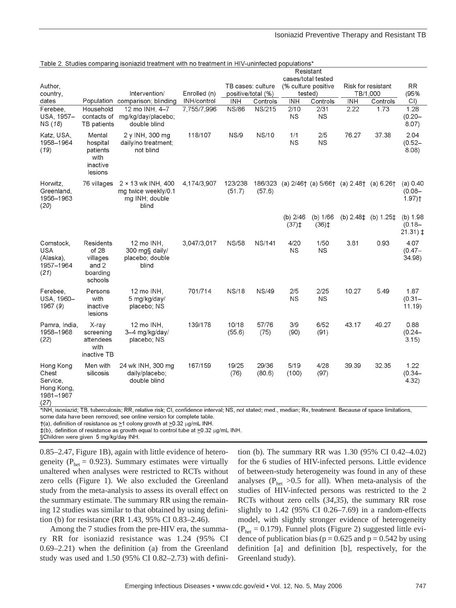### Isoniazid Preventive Therapy and Resistant TB

|                                                                   |                                                                | Table 2. Studies comparing isoniazid treatment with no treatment in HTV-uninfected populations' |              |                    |                   |                                                       |                                                     |                                             |          |                                                 |
|-------------------------------------------------------------------|----------------------------------------------------------------|-------------------------------------------------------------------------------------------------|--------------|--------------------|-------------------|-------------------------------------------------------|-----------------------------------------------------|---------------------------------------------|----------|-------------------------------------------------|
|                                                                   |                                                                |                                                                                                 |              |                    |                   |                                                       | Resistant                                           |                                             |          |                                                 |
| Author,                                                           |                                                                |                                                                                                 |              | TB cases: culture  |                   | cases/total tested<br>(% culture positive             |                                                     | Risk for resistant                          |          | <b>RR</b>                                       |
| country,                                                          |                                                                | Intervention/                                                                                   | Enrolled (n) | positive/total (%) |                   | tested)                                               |                                                     | TB/1,000                                    |          | (95%                                            |
| dates                                                             |                                                                | Population comparison; blinding                                                                 | INH/control  | <b>INH</b>         | Controls          | <b>INH</b>                                            | Controls                                            | <b>INH</b>                                  | Controls | CI                                              |
| Ferebee.<br>USA, 1957-<br>NS (18)                                 | Household<br>contacts of<br>TB patients                        | 12 mo INH, 4-7<br>mg/kg/day/placebo;<br>double blind                                            | 7,755/7,996  | <b>NS/86</b>       | <b>NS/215</b>     | 2/10<br><b>NS</b>                                     | 2/31<br><b>NS</b>                                   | 2.22                                        | 1.73     | 1.28<br>$(0.20 -$<br>8.07)                      |
| Katz, USA,<br>1958-1964<br>(19)                                   | Mental<br>hospital<br>patients<br>with<br>inactive<br>lesions  | 2 y INH, 300 mg<br>daily/no treatment;<br>not blind                                             | 118/107      | <b>NS/9</b>        | NS/10             | 1/1<br><b>NS</b>                                      | 2/5<br><b>NS</b>                                    | 76.27                                       | 37.38    | 2.04<br>$(0.52 -$<br>8.08)                      |
| Horwitz,<br>Greenland.<br>1956-1963<br>(20)                       | 76 villages                                                    | 2 × 13 wk INH, 400<br>ma twice weekly/0.1<br>mg INH; double<br>blind                            | 4,174/3,907  | 123/238<br>(51.7)  | 186/323<br>(57.6) |                                                       |                                                     | (a) $2/46$ (a) $5/66$ (a) $2.48$ (a) $6.26$ |          | (a) 0.40<br>$(0.08 -$<br>$1.97$ ) <sup>†</sup>  |
|                                                                   |                                                                |                                                                                                 |              |                    |                   | (b) $2/46$<br>$(37)$ <sup><math>\ddagger</math></sup> | (b) 1/66<br>$(36)$ <sup><math>\ddagger</math></sup> | (b) $2.48\pm$ (b) $1.25\pm$                 |          | (b) $1.98$<br>$(0.18 -$<br>$21.31$ ) $\ddagger$ |
| Comstock,<br><b>USA</b><br>(Alaska),<br>1957-1964<br>(21)         | Residents<br>of 28<br>villages<br>and 2<br>boarding<br>schools | 12 mo INH,<br>300 mg§ daily/<br>placebo; double<br>blind                                        | 3,047/3,017  | <b>NS/58</b>       | <b>NS/141</b>     | 4/20<br><b>NS</b>                                     | 1/50<br><b>NS</b>                                   | 3.81                                        | 0.93     | 4.07<br>$(0.47 -$<br>34.98)                     |
| Ferebee,<br>USA, 1960-<br>1967 (9)                                | Persons<br>with<br>inactive<br>lesions                         | 12 mo INH,<br>5 mg/kg/day/<br>placebo; NS                                                       | 701/714      | <b>NS/18</b>       | <b>NS/49</b>      | 2/5<br><b>NS</b>                                      | 2/25<br><b>NS</b>                                   | 10.27                                       | 5.49     | 1.87<br>$(0.31 -$<br>11.19                      |
| Pamra, India,<br>1958-1968<br>(22)                                | X-ray<br>screening<br>attendees<br>with<br>inactive TB         | 12 mo INH,<br>3-4 mg/kg/day/<br>placebo; NS                                                     | 139/178      | 10/18<br>(55.6)    | 57/76<br>(75)     | 3/9<br>(90)                                           | 6/52<br>(91)                                        | 43.17                                       | 49.27    | 0.88<br>$(0.24 -$<br>3.15                       |
| Hong Kong<br>Chest<br>Service,<br>Hong Kong,<br>1981-1987<br>(27) | Men with<br>silicosis                                          | 24 wk INH, 300 mg<br>daily/placebo;<br>double blind                                             | 167/159      | 19/25<br>(76)      | 29/36<br>(80.6)   | 5/19<br>(100)                                         | 4/28<br>(97)                                        | 39.39                                       | 32.35    | 1.22<br>$(0.34 -$<br>4.32                       |

\*INH, isoniazid; TB, tuberculosis; RR, relative risk; CI, confidence interval; NS, not stated; med., median; Rx, treatment. Because of space limitations, some data have been removed; see online version for complete table.

 $\dagger$ (a), definition of resistance as  $\geq$ 1 colony growth at  $\geq$ 0.32 µg/mL INH.

‡(b), definition of resistance as growth equal to control tube at ≥0.32 µg/mL INH.

§Children were given 5 mg/kg/day INH.

0.85–2.47, Figure 1B), again with little evidence of heterogeneity ( $P_{\text{het}}$  = 0.923). Summary estimates were virtually unaltered when analyses were restricted to RCTs without zero cells (Figure 1). We also excluded the Greenland study from the meta-analysis to assess its overall effect on the summary estimate. The summary RR using the remaining 12 studies was similar to that obtained by using definition (b) for resistance (RR 1.43, 95% CI 0.83–2.46).

Among the 7 studies from the pre-HIV era, the summary RR for isoniazid resistance was 1.24 (95% CI 0.69–2.21) when the definition (a) from the Greenland study was used and 1.50 (95% CI 0.82–2.73) with defini-

tion (b). The summary RR was 1.30 (95% CI 0.42–4.02) for the 6 studies of HIV-infected persons. Little evidence of between-study heterogeneity was found in any of these analyses ( $P_{\text{het}} > 0.5$  for all). When meta-analysis of the studies of HIV-infected persons was restricted to the 2 RCTs without zero cells (*34,35*), the summary RR rose slightly to  $1.42$  (95% CI 0.26–7.69) in a random-effects model, with slightly stronger evidence of heterogeneity  $(P<sub>het</sub> = 0.179)$ . Funnel plots (Figure 2) suggested little evidence of publication bias ( $p = 0.625$  and  $p = 0.542$  by using definition [a] and definition [b], respectively, for the Greenland study).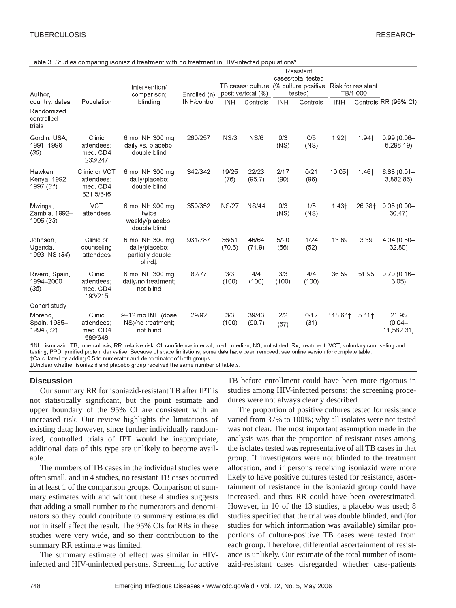### TUBERCULOSIS RESEARCH

### Table 3. Studies comparing isoniazid treatment with no treatment in HIV-infected populations\*

|                                       | Population                                           | Intervention/<br>comparison;<br>blinding                        | Enrolled (n)<br>INH/control | positive/total (%) |                 | Resistant<br>cases/total tested<br>TB cases: culture (% culture positive<br>tested) |              | Risk for resistant<br>TB/1,000 |        |                                  |
|---------------------------------------|------------------------------------------------------|-----------------------------------------------------------------|-----------------------------|--------------------|-----------------|-------------------------------------------------------------------------------------|--------------|--------------------------------|--------|----------------------------------|
| Author.<br>country, dates             |                                                      |                                                                 |                             | <b>INH</b>         | Controls        | <b>INH</b>                                                                          | Controls     | <b>INH</b>                     |        | Controls RR (95% CI)             |
| Randomized<br>controlled<br>trials    |                                                      |                                                                 |                             |                    |                 |                                                                                     |              |                                |        |                                  |
| Gordin, USA,<br>1991-1996<br>(30)     | Clinic<br>attendees;<br>med. CD4<br>233/247          | 6 mo INH 300 mg<br>daily vs. placebo;<br>double blind           | 260/257                     | NS/3               | NS/6            | 0/3<br>(NS)                                                                         | 0/5<br>(NS)  | 1.92†                          | 1.94†  | $0.99(0.06 -$<br>6,298.19)       |
| Hawken,<br>Kenya, 1992-<br>1997 (31)  | Clinic or VCT<br>attendees;<br>med. CD4<br>321.5/346 | 6 mo INH 300 mg<br>daily/placebo;<br>double blind               | 342/342                     | 19/25<br>(76)      | 22/23<br>(95.7) | 2/17<br>(90)                                                                        | 0/21<br>(96) | 10.05†                         | 1.46†  | $6.88(0.01 -$<br>3,882.85)       |
| Mwinga,<br>Zambia, 1992-<br>1996 (33) | <b>VCT</b><br>attendees                              | 6 mo INH 900 mg<br>twice<br>weekly/placebo;<br>double blind     | 350/352                     | <b>NS/27</b>       | <b>NS/44</b>    | 0/3<br>(NS)                                                                         | 1/5<br>(NS)  | 1.43 <sub>†</sub>              | 26.38† | $0.05(0.00 -$<br>$30.47$ )       |
| Johnson,<br>Uganda,<br>1993-NS (34)   | Clinic or<br>counseling<br>attendees                 | 6 mo INH 300 mg<br>daily/placebo;<br>partially double<br>blind‡ | 931/787                     | 36/51<br>(70.6)    | 46/64<br>(71.9) | 5/20<br>(56)                                                                        | 1/24<br>(52) | 13.69                          | 3.39   | 4.04 (0.50-<br>32.80             |
| Rivero, Spain,<br>1994-2000<br>(35)   | Clinic<br>attendees;<br>med. CD4<br>193/215          | 6 mo INH 300 mg<br>daily/no treatment;<br>not blind             | 82/77                       | 3/3<br>(100)       | 4/4<br>(100)    | 3/3<br>(100)                                                                        | 4/4<br>(100) | 36.59                          | 51.95  | $0.70(0.16 -$<br>3.05)           |
| Cohort study                          |                                                      |                                                                 |                             |                    |                 |                                                                                     |              |                                |        |                                  |
| Moreno,<br>Spain, 1985-<br>1994 (32)  | Clinic<br>attendees:<br>med. CD4<br>689/648          | 9-12 mo INH (dose<br>NS)/no treatment;<br>not blind             | 29/92                       | 3/3<br>(100)       | 39/43<br>(90.7) | 2/2<br>(67)                                                                         | 0/12<br>(31) | 118.64†                        | 5.41   | 21.95<br>$(0.04 -$<br>11,582.31) |

\*INH, isoniazid; TB, tuberculosis; RR, relative risk; CI, confidence interval; med., median; NS, not stated; Rx, treatment; VCT, voluntary counseling and testing; PPD, purified protein derivative. Because of space limitations, some data have been removed; see online version for complete table. †Calculated by adding 0.5 to numerator and denominator of both groups.

±Unclear whether isoniazid and placebo group received the same number of tablets.

### **Discussion**

Our summary RR for isoniazid-resistant TB after IPT is not statistically significant, but the point estimate and upper boundary of the 95% CI are consistent with an increased risk. Our review highlights the limitations of existing data; however, since further individually randomized, controlled trials of IPT would be inappropriate, additional data of this type are unlikely to become available.

The numbers of TB cases in the individual studies were often small, and in 4 studies, no resistant TB cases occurred in at least 1 of the comparison groups. Comparison of summary estimates with and without these 4 studies suggests that adding a small number to the numerators and denominators so they could contribute to summary estimates did not in itself affect the result. The 95% CIs for RRs in these studies were very wide, and so their contribution to the summary RR estimate was limited.

The summary estimate of effect was similar in HIVinfected and HIV-uninfected persons. Screening for active TB before enrollment could have been more rigorous in studies among HIV-infected persons; the screening procedures were not always clearly described.

The proportion of positive cultures tested for resistance varied from 37% to 100%; why all isolates were not tested was not clear. The most important assumption made in the analysis was that the proportion of resistant cases among the isolates tested was representative of all TB cases in that group. If investigators were not blinded to the treatment allocation, and if persons receiving isoniazid were more likely to have positive cultures tested for resistance, ascertainment of resistance in the isoniazid group could have increased, and thus RR could have been overestimated. However, in 10 of the 13 studies, a placebo was used; 8 studies specified that the trial was double blinded, and (for studies for which information was available) similar proportions of culture-positive TB cases were tested from each group. Therefore, differential ascertainment of resistance is unlikely. Our estimate of the total number of isoniazid-resistant cases disregarded whether case-patients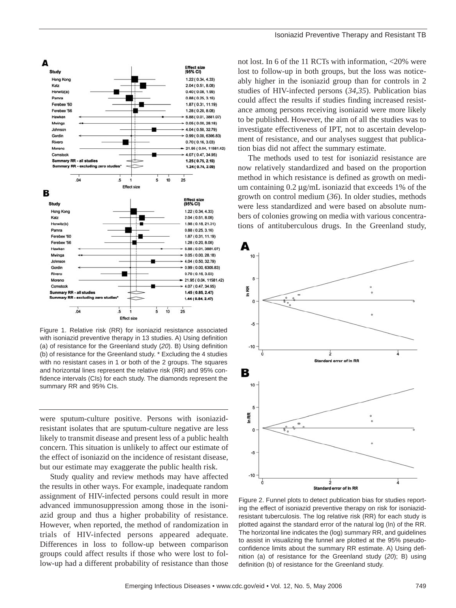

Figure 1. Relative risk (RR) for isoniazid resistance associated with isoniazid preventive therapy in 13 studies. A) Using definition (a) of resistance for the Greenland study (*20*). B) Using definition (b) of resistance for the Greenland study. \* Excluding the 4 studies with no resistant cases in 1 or both of the 2 groups. The squares and horizontal lines represent the relative risk (RR) and 95% confidence intervals (CIs) for each study. The diamonds represent the summary RR and 95% CIs.

were sputum-culture positive. Persons with isoniazidresistant isolates that are sputum-culture negative are less likely to transmit disease and present less of a public health concern. This situation is unlikely to affect our estimate of the effect of isoniazid on the incidence of resistant disease, but our estimate may exaggerate the public health risk.

Study quality and review methods may have affected the results in other ways. For example, inadequate random assignment of HIV-infected persons could result in more advanced immunosuppression among those in the isoniazid group and thus a higher probability of resistance. However, when reported, the method of randomization in trials of HIV-infected persons appeared adequate. Differences in loss to follow-up between comparison groups could affect results if those who were lost to follow-up had a different probability of resistance than those

not lost. In 6 of the 11 RCTs with information, <20% were lost to follow-up in both groups, but the loss was noticeably higher in the isoniazid group than for controls in 2 studies of HIV-infected persons (*34,35*). Publication bias could affect the results if studies finding increased resistance among persons receiving isoniazid were more likely to be published. However, the aim of all the studies was to investigate effectiveness of IPT, not to ascertain development of resistance, and our analyses suggest that publication bias did not affect the summary estimate.

The methods used to test for isoniazid resistance are now relatively standardized and based on the proportion method in which resistance is defined as growth on medium containing  $0.2 \mu g/mL$  isoniazid that exceeds 1% of the growth on control medium (*36*). In older studies, methods were less standardized and were based on absolute numbers of colonies growing on media with various concentrations of antituberculous drugs. In the Greenland study,



Figure 2. Funnel plots to detect publication bias for studies reporting the effect of isoniazid preventive therapy on risk for isoniazidresistant tuberculosis. The log relative risk (RR) for each study is plotted against the standard error of the natural log (ln) of the RR. The horizontal line indicates the (log) summary RR, and guidelines to assist in visualizing the funnel are plotted at the 95% pseudoconfidence limits about the summary RR estimate. A) Using definition (a) of resistance for the Greenland study (*20*); B) using definition (b) of resistance for the Greenland study.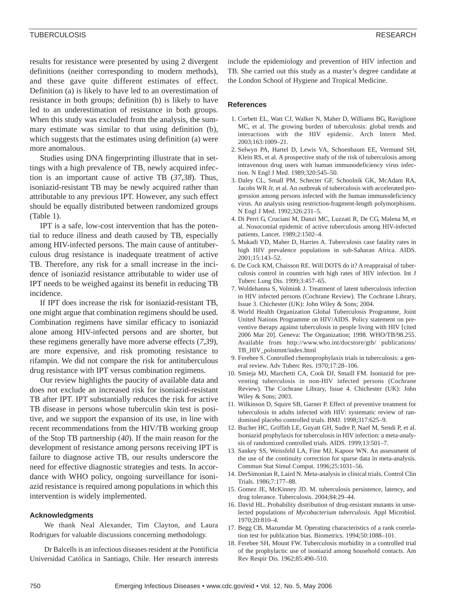results for resistance were presented by using 2 divergent definitions (neither corresponding to modern methods), and these gave quite different estimates of effect. Definition (a) is likely to have led to an overestimation of resistance in both groups; definition (b) is likely to have led to an underestimation of resistance in both groups. When this study was excluded from the analysis, the summary estimate was similar to that using definition (b), which suggests that the estimates using definition (a) were more anomalous.

Studies using DNA fingerprinting illustrate that in settings with a high prevalence of TB, newly acquired infection is an important cause of active TB (*37,38*). Thus, isoniazid-resistant TB may be newly acquired rather than attributable to any previous IPT. However, any such effect should be equally distributed between randomized groups (Table 1).

IPT is a safe, low-cost intervention that has the potential to reduce illness and death caused by TB, especially among HIV-infected persons. The main cause of antituberculous drug resistance is inadequate treatment of active TB. Therefore, any risk for a small increase in the incidence of isoniazid resistance attributable to wider use of IPT needs to be weighed against its benefit in reducing TB incidence.

If IPT does increase the risk for isoniazid-resistant TB, one might argue that combination regimens should be used. Combination regimens have similar efficacy to isoniazid alone among HIV-infected persons and are shorter, but these regimens generally have more adverse effects (*7,39*), are more expensive, and risk promoting resistance to rifampin. We did not compare the risk for antituberculous drug resistance with IPT versus combination regimens.

Our review highlights the paucity of available data and does not exclude an increased risk for isoniazid-resistant TB after IPT. IPT substantially reduces the risk for active TB disease in persons whose tuberculin skin test is positive, and we support the expansion of its use, in line with recent recommendations from the HIV/TB working group of the Stop TB partnership (*40*). If the main reason for the development of resistance among persons receiving IPT is failure to diagnose active TB, our results underscore the need for effective diagnostic strategies and tests. In accordance with WHO policy, ongoing surveillance for isoniazid resistance is required among populations in which this intervention is widely implemented.

### **Acknowledgments**

We thank Neal Alexander, Tim Clayton, and Laura Rodrigues for valuable discussions concerning methodology.

Dr Balcells is an infectious diseases resident at the Pontificia Universidad Católica in Santiago, Chile. Her research interests

include the epidemiology and prevention of HIV infection and TB. She carried out this study as a master's degree candidate at the London School of Hygiene and Tropical Medicine.

### **References**

- 1. Corbett EL, Watt CJ, Walker N, Maher D, Williams BG, Raviglione MC, et al. The growing burden of tuberculosis: global trends and interactions with the HIV epidemic. Arch Intern Med. 2003;163:1009–21.
- 2. Selwyn PA, Hartel D, Lewis VA, Schoenbaum EE, Vermund SH, Klein RS, et al. A prospective study of the risk of tuberculosis among intravenous drug users with human immunodeficiency virus infection. N Engl J Med. 1989;320:545–50.
- 3. Daley CL, Small PM, Schecter GF, Schoolnik GK, McAdam RA, Jacobs WR Jr, et al. An outbreak of tuberculosis with accelerated progression among persons infected with the human immunodeficiency virus. An analysis using restriction-fragment-length polymorphisms. N Engl J Med. 1992;326:231–5.
- 4. Di Perri G, Cruciani M, Danzi MC, Luzzati R, De CG, Malena M, et al. Nosocomial epidemic of active tuberculosis among HIV-infected patients. Lancet. 1989;2:1502–4.
- 5. Mukadi YD, Maher D, Harries A. Tuberculosis case fatality rates in high HIV prevalence populations in sub-Saharan Africa. AIDS.  $2001:15:143-52$ .
- 6. De Cock KM, Chaisson RE. Will DOTS do it? A reappraisal of tuberculosis control in countries with high rates of HIV infection. Int J Tuberc Lung Dis. 1999;3:457–65.
- 7. Woldehanna S, Volmink J. Treatment of latent tuberculosis infection in HIV infected persons (Cochrane Review). The Cochrane Library, Issue 3. Chichester (UK): John Wiley & Sons; 2004.
- 8. World Health Organization Global Tuberculosis Programme, Joint United Nations Programme on HIV/AIDS. Policy statement on preventive therapy against tuberculosis in people living with HIV [cited 2006 Mar 20]. Geneva: The Organization; 1998. WHO/TB/98.255. Available from http://www.who.int/docstore/gtb/ publications/ TB\_HIV\_polstmnt/index.html
- 9. Ferebee S. Controlled chemoprophylaxis trials in tuberculosis: a general review. Adv Tuberc Res. 1970;17:28–106.
- 10. Smieja MJ, Marchetti CA, Cook DJ, Smaill FM. Isoniazid for preventing tuberculosis in non-HIV infected persons (Cochrane Review). The Cochrane Library, Issue 4. Chichester (UK): John Wiley & Sons; 2003.
- 11. Wilkinson D, Squire SB, Garner P. Effect of preventive treatment for tuberculosis in adults infected with HIV: systematic review of randomised placebo controlled trials. BMJ. 1998;317:625–9.
- 12. Bucher HC, Griffith LE, Guyatt GH, Sudre P, Naef M, Sendi P, et al. Isoniazid prophylaxis for tuberculosis in HIV infection: a meta-analysis of randomized controlled trials. AIDS. 1999;13:501–7.
- 13. Sankey SS, Weissfeld LA, Fine MJ, Kapoor WN. An assessment of the use of the continuity correction for sparse data in meta-analysis. Commun Stat Simul Comput. 1996;25:1031–56.
- 14. DerSimonian R, Laird N. Meta-analysis in clinical trials. Control Clin Trials. 1986;7:177–88.
- 15. Gomez JE, McKinney JD. M. tuberculosis persistence, latency, and drug tolerance. Tuberculosis. 2004;84:29–44.
- 16. David HL. Probability distribution of drug-resistant mutants in unselected populations of *Mycobacterium tuberculosis*. Appl Microbiol. 1970;20:810–4.
- 17. Begg CB, Mazumdar M. Operating characteristics of a rank correlation test for publication bias. Biometrics. 1994;50:1088–101.
- 18. Ferebee SH, Mount FW. Tuberculosis morbidity in a controlled trial of the prophylactic use of isoniazid among household contacts. Am Rev Respir Dis. 1962;85:490–510.